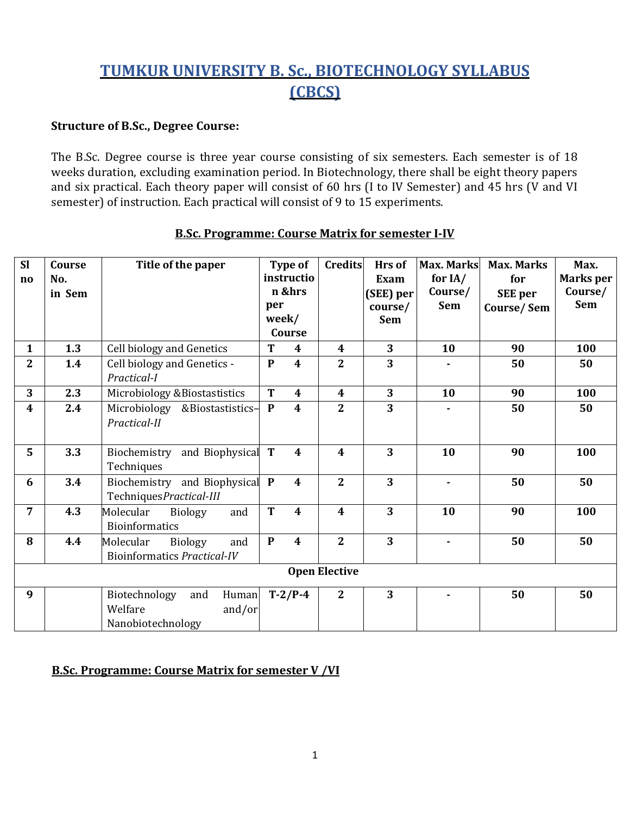# **TUMKUR UNIVERSITY B. Sc., BIOTECHNOLOGY SYLLABUS (CBCS)**

### **Structure of B.Sc., Degree Course:**

The B.Sc. Degree course is three year course consisting of six semesters. Each semester is of 18 weeks duration, excluding examination period. In Biotechnology, there shall be eight theory papers and six practical. Each theory paper will consist of 60 hrs (I to IV Semester) and 45 hrs (V and VI semester) of instruction. Each practical will consist of 9 to 15 experiments.

| <b>Sl</b>              | Course | Title of the paper                 | <b>Type of</b> |                         | <b>Credits</b>          | Hrs of                  | <b>Max. Marks</b> | <b>Max. Marks</b> | Max.             |
|------------------------|--------|------------------------------------|----------------|-------------------------|-------------------------|-------------------------|-------------------|-------------------|------------------|
| $\mathbf{n}\mathbf{o}$ | No.    |                                    | instructio     |                         |                         | Exam                    | for $IA/$         | for               | <b>Marks</b> per |
|                        | in Sem |                                    | n &hrs         |                         |                         | (SEE) per               | Course/           | <b>SEE</b> per    | Course/          |
|                        |        |                                    | per            |                         |                         | course/                 | <b>Sem</b>        | Course/Sem        | <b>Sem</b>       |
|                        |        |                                    | week/          |                         |                         | <b>Sem</b>              |                   |                   |                  |
|                        |        |                                    |                | Course                  |                         |                         |                   |                   |                  |
| $\mathbf{1}$           | 1.3    | Cell biology and Genetics          | T              | $\boldsymbol{4}$        | 4                       | 3                       | 10                | 90                | 100              |
| $\overline{2}$         | 1.4    | Cell biology and Genetics -        | $\mathbf{P}$   | $\boldsymbol{4}$        | $\overline{2}$          | 3                       |                   | 50                | 50               |
|                        |        | Practical-I                        |                |                         |                         |                         |                   |                   |                  |
| 3                      | 2.3    | Microbiology & Biostastistics      | T              | $\overline{\mathbf{4}}$ | $\boldsymbol{4}$        | 3                       | 10                | 90                | 100              |
| $\boldsymbol{4}$       | 2.4    | Microbiology<br>&Biostastistics-   | $\mathbf{P}$   | $\overline{\mathbf{4}}$ | $\overline{2}$          | 3                       |                   | 50                | 50               |
|                        |        | Practical-II                       |                |                         |                         |                         |                   |                   |                  |
|                        |        |                                    |                |                         |                         |                         |                   |                   |                  |
| 5                      | 3.3    | Biochemistry and Biophysical T     |                | $\overline{\mathbf{4}}$ | $\overline{\mathbf{4}}$ | $\overline{\mathbf{3}}$ | 10                | 90                | 100              |
|                        |        | Techniques                         |                |                         |                         |                         |                   |                   |                  |
| 6                      | 3.4    | Biochemistry and Biophysical P     |                | $\overline{\mathbf{4}}$ | $\overline{2}$          | $\overline{\mathbf{3}}$ |                   | 50                | 50               |
|                        |        | TechniquesPractical-III            |                |                         |                         |                         |                   |                   |                  |
| 7                      | 4.3    | Molecular<br>and<br><b>Biology</b> | T              | $\overline{\mathbf{4}}$ | $\overline{\mathbf{4}}$ | $\overline{\mathbf{3}}$ | 10                | 90                | 100              |
|                        |        | <b>Bioinformatics</b>              |                |                         |                         |                         |                   |                   |                  |
| 8                      | 4.4    | Molecular<br><b>Biology</b><br>and | ${\bf P}$      | $\overline{\mathbf{4}}$ | $\overline{2}$          | 3                       |                   | 50                | 50               |
|                        |        | Bioinformatics Practical-IV        |                |                         |                         |                         |                   |                   |                  |
| <b>Open Elective</b>   |        |                                    |                |                         |                         |                         |                   |                   |                  |
|                        |        |                                    |                |                         |                         |                         |                   |                   |                  |
| 9                      |        | Biotechnology<br>and<br>Human      |                | $T-2/P-4$               | $\mathbf{2}$            | 3                       |                   | 50                | 50               |
|                        |        | Welfare<br>and/or                  |                |                         |                         |                         |                   |                   |                  |
|                        |        | Nanobiotechnology                  |                |                         |                         |                         |                   |                   |                  |

### **B.Sc. Programme: Course Matrix for semester I-IV**

### **B.Sc. Programme: Course Matrix for semester V /VI**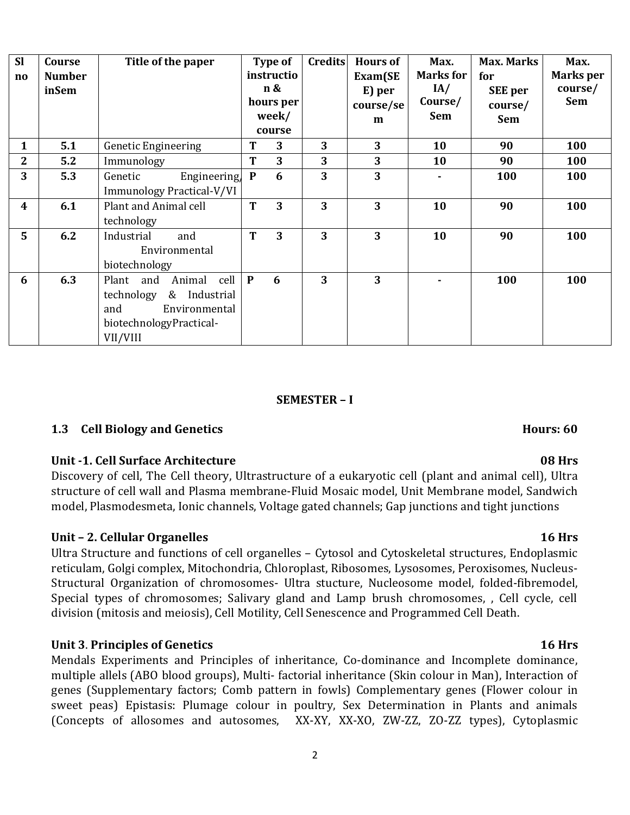| <b>Sl</b><br>$\mathbf{no}$ | Course<br><b>Number</b><br>inSem | Title of the paper                                                                                                    | Type of<br>instructio<br>n &<br>hours per<br>week/<br>course |   | <b>Credits</b> | <b>Hours of</b><br>Exam(SE<br>E) per<br>course/se<br>m | Max.<br><b>Marks for</b><br>IA/<br>Course/<br>Sem | <b>Max. Marks</b><br>for<br><b>SEE</b> per<br>course/<br><b>Sem</b> | Max.<br>Marks per<br>course/<br><b>Sem</b> |
|----------------------------|----------------------------------|-----------------------------------------------------------------------------------------------------------------------|--------------------------------------------------------------|---|----------------|--------------------------------------------------------|---------------------------------------------------|---------------------------------------------------------------------|--------------------------------------------|
| $\mathbf{1}$               | 5.1                              | Genetic Engineering                                                                                                   | T                                                            | 3 | 3              | 3                                                      | 10                                                | 90                                                                  | 100                                        |
| $\mathbf{2}$               | 5.2                              | Immunology                                                                                                            | T                                                            | 3 | 3              | 3                                                      | 10                                                | 90                                                                  | 100                                        |
| 3                          | 5.3                              | Engineering,<br>Genetic<br>Immunology Practical-V/VI                                                                  | $\mathbf{P}$                                                 | 6 | 3              | $\overline{3}$                                         |                                                   | 100                                                                 | 100                                        |
| $\boldsymbol{4}$           | 6.1                              | Plant and Animal cell<br>technology                                                                                   | T                                                            | 3 | 3              | 3                                                      | 10                                                | 90                                                                  | 100                                        |
| $5\overline{)}$            | 6.2                              | Industrial<br>and<br>Environmental<br>biotechnology                                                                   | T                                                            | 3 | 3              | 3                                                      | 10                                                | 90                                                                  | 100                                        |
| 6                          | 6.3                              | Animal cell<br>Plant and<br>technology<br>& Industrial<br>Environmental<br>and<br>biotechnologyPractical-<br>VII/VIII | $\mathbf{P}$                                                 | 6 | 3              | 3                                                      |                                                   | 100                                                                 | 100                                        |

### **SEMESTER – I**

# **1.3 Cell Biology and Genetics Hours: 60**

### **Unit -1. Cell Surface Architecture 08 Hrs**

Discovery of cell, The Cell theory, Ultrastructure of a eukaryotic cell (plant and animal cell), Ultra structure of cell wall and Plasma membrane-Fluid Mosaic model, Unit Membrane model, Sandwich model, Plasmodesmeta, Ionic channels, Voltage gated channels; Gap junctions and tight junctions

# **Unit – 2. Cellular Organelles 16 Hrs**

Ultra Structure and functions of cell organelles – Cytosol and Cytoskeletal structures, Endoplasmic reticulam, Golgi complex, Mitochondria, Chloroplast, Ribosomes, Lysosomes, Peroxisomes, Nucleus-Structural Organization of chromosomes- Ultra stucture, Nucleosome model, folded-fibremodel, Special types of chromosomes; Salivary gland and Lamp brush chromosomes, , Cell cycle, cell division (mitosis and meiosis), Cell Motility, Cell Senescence and Programmed Cell Death.

# **Unit 3**. **Principles of Genetics 16 Hrs**

Mendals Experiments and Principles of inheritance, Co-dominance and Incomplete dominance, multiple allels (ABO blood groups), Multi- factorial inheritance (Skin colour in Man), Interaction of genes (Supplementary factors; Comb pattern in fowls) Complementary genes (Flower colour in sweet peas) Epistasis: Plumage colour in poultry, Sex Determination in Plants and animals (Concepts of allosomes and autosomes, XX-XY, XX-XO, ZW-ZZ, ZO-ZZ types), Cytoplasmic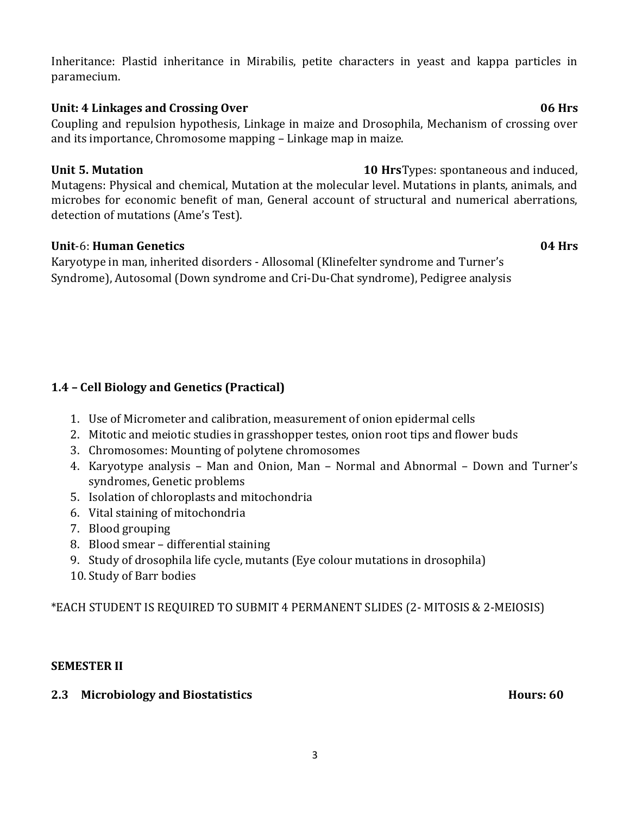Inheritance: Plastid inheritance in Mirabilis, petite characters in yeast and kappa particles in paramecium.

# Unit: 4 Linkages and Crossing Over **06 Hrs**

Coupling and repulsion hypothesis, Linkage in maize and Drosophila, Mechanism of crossing over and its importance, Chromosome mapping – Linkage map in maize.

# **Unit 5. Mutation 10 Hrs**Types: spontaneous and induced,

Mutagens: Physical and chemical, Mutation at the molecular level. Mutations in plants, animals, and microbes for economic benefit of man, General account of structural and numerical aberrations, detection of mutations (Ame's Test).

# **Unit**-6: **Human Genetics 04 Hrs**

Karyotype in man, inherited disorders - Allosomal (Klinefelter syndrome and Turner's Syndrome), Autosomal (Down syndrome and Cri-Du-Chat syndrome), Pedigree analysis

# **1.4 – Cell Biology and Genetics (Practical)**

- 1. Use of Micrometer and calibration, measurement of onion epidermal cells
- 2. Mitotic and meiotic studies in grasshopper testes, onion root tips and flower buds
- 3. Chromosomes: Mounting of polytene chromosomes
- 4. Karyotype analysis Man and Onion, Man Normal and Abnormal Down and Turner's syndromes, Genetic problems
- 5. Isolation of chloroplasts and mitochondria
- 6. Vital staining of mitochondria
- 7. Blood grouping
- 8. Blood smear differential staining
- 9. Study of drosophila life cycle, mutants (Eye colour mutations in drosophila)
- 10.Study of Barr bodies

\*EACH STUDENT IS REQUIRED TO SUBMIT 4 PERMANENT SLIDES (2- MITOSIS & 2-MEIOSIS)

# **SEMESTER II**

# **2.3** Microbiology and Biostatistics **Hours: 60 Hours: 60**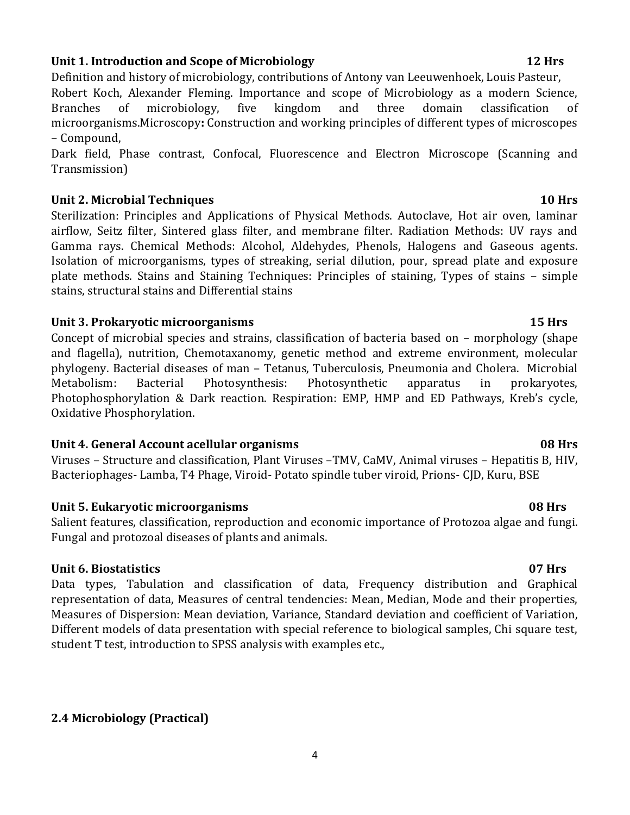# **Unit 1. Introduction and Scope of Microbiology 12 Hrs**

Definition and history of microbiology, contributions of Antony van Leeuwenhoek, Louis Pasteur,

Robert Koch, Alexander Fleming. Importance and scope of Microbiology as a modern Science, Branches of microbiology, five kingdom and three domain classification of microorganisms.Microscopy**:** Construction and working principles of different types of microscopes – Compound,

Dark field, Phase contrast, Confocal, Fluorescence and Electron Microscope (Scanning and Transmission)

### **Unit 2. Microbial Techniques 10 Hrs**

Sterilization: Principles and Applications of Physical Methods. Autoclave, Hot air oven, laminar airflow, Seitz filter, Sintered glass filter, and membrane filter. Radiation Methods: UV rays and Gamma rays. Chemical Methods: Alcohol, Aldehydes, Phenols, Halogens and Gaseous agents. Isolation of microorganisms, types of streaking, serial dilution, pour, spread plate and exposure plate methods. Stains and Staining Techniques: Principles of staining, Types of stains – simple stains, structural stains and Differential stains

### **Unit 3. Prokaryotic microorganisms 15 Hrs**

Concept of microbial species and strains, classification of bacteria based on – morphology (shape and flagella), nutrition, Chemotaxanomy, genetic method and extreme environment, molecular phylogeny. Bacterial diseases of man – Tetanus, Tuberculosis, Pneumonia and Cholera. Microbial Metabolism: Bacterial Photosynthesis: Photosynthetic apparatus in prokaryotes, Photophosphorylation & Dark reaction. Respiration: EMP, HMP and ED Pathways, Kreb's cycle, Oxidative Phosphorylation.

# **Unit 4. General Account acellular organisms 08 Hrs**

Viruses – Structure and classification, Plant Viruses –TMV, CaMV, Animal viruses – Hepatitis B, HIV, Bacteriophages- Lamba, T4 Phage, Viroid- Potato spindle tuber viroid, Prions- CJD, Kuru, BSE

### **Unit 5. Eukaryotic microorganisms 08 Hrs**

Salient features, classification, reproduction and economic importance of Protozoa algae and fungi. Fungal and protozoal diseases of plants and animals.

# **Unit 6. Biostatistics 07 Hrs**

Data types, Tabulation and classification of data, Frequency distribution and Graphical representation of data, Measures of central tendencies: Mean, Median, Mode and their properties, Measures of Dispersion: Mean deviation, Variance, Standard deviation and coefficient of Variation, Different models of data presentation with special reference to biological samples, Chi square test, student T test, introduction to SPSS analysis with examples etc.,

# **2.4 Microbiology (Practical)**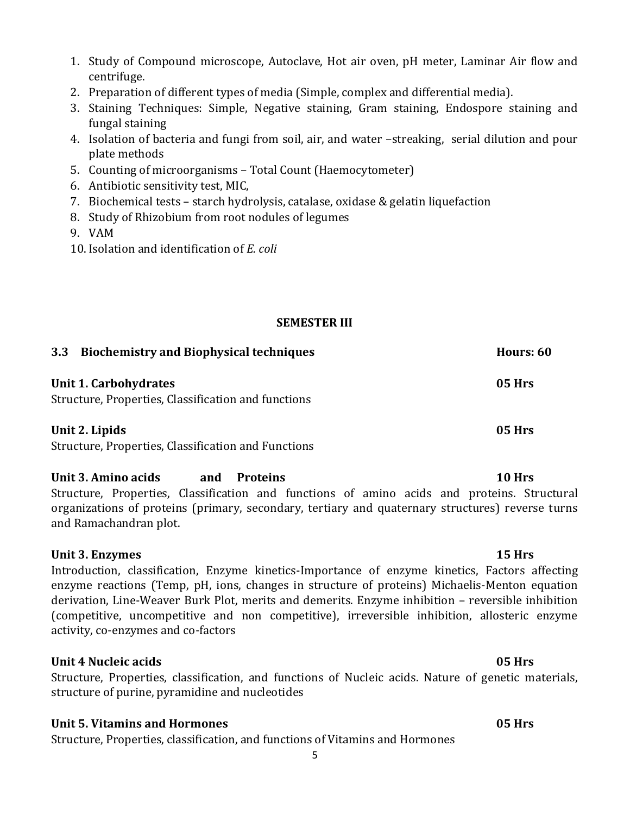- 1. Study of Compound microscope, Autoclave, Hot air oven, pH meter, Laminar Air flow and centrifuge.
- 2. Preparation of different types of media (Simple, complex and differential media).
- 3. Staining Techniques: Simple, Negative staining, Gram staining, Endospore staining and fungal staining
- 4. Isolation of bacteria and fungi from soil, air, and water –streaking, serial dilution and pour plate methods
- 5. Counting of microorganisms Total Count (Haemocytometer)
- 6. Antibiotic sensitivity test, MIC,
- 7. Biochemical tests starch hydrolysis, catalase, oxidase & gelatin liquefaction
- 8. Study of Rhizobium from root nodules of legumes
- 9. VAM
- 10. Isolation and identification of *E. coli*

# **SEMESTER III**

| <b>Biochemistry and Biophysical techniques</b><br>3.3     | Hours: 60     |
|-----------------------------------------------------------|---------------|
| Unit 1. Carbohydrates                                     | <b>05 Hrs</b> |
| Structure, Properties, Classification and functions       |               |
| Unit 2. Lipids                                            | 05 Hrs        |
| <b>C</b> tructure Dreporties Classification and Eunctions |               |

Structure, Properties, Classification and Functions

# **Unit 3. Amino acids and Proteins 10 Hrs**

Structure, Properties, Classification and functions of amino acids and proteins. Structural organizations of proteins (primary, secondary, tertiary and quaternary structures) reverse turns and Ramachandran plot.

# Unit 3. Enzymes 15 Hrs

Introduction, classification, Enzyme kinetics-Importance of enzyme kinetics, Factors affecting enzyme reactions (Temp, pH, ions, changes in structure of proteins) Michaelis-Menton equation derivation, Line-Weaver Burk Plot, merits and demerits. Enzyme inhibition – reversible inhibition (competitive, uncompetitive and non competitive), irreversible inhibition, allosteric enzyme activity, co-enzymes and co-factors

# **Unit 4 Nucleic acids 05 Hrs**

Structure, Properties, classification, and functions of Nucleic acids. Nature of genetic materials, structure of purine, pyramidine and nucleotides

# **Unit 5. Vitamins and Hormones 05 Hrs**

Structure, Properties, classification, and functions of Vitamins and Hormones

5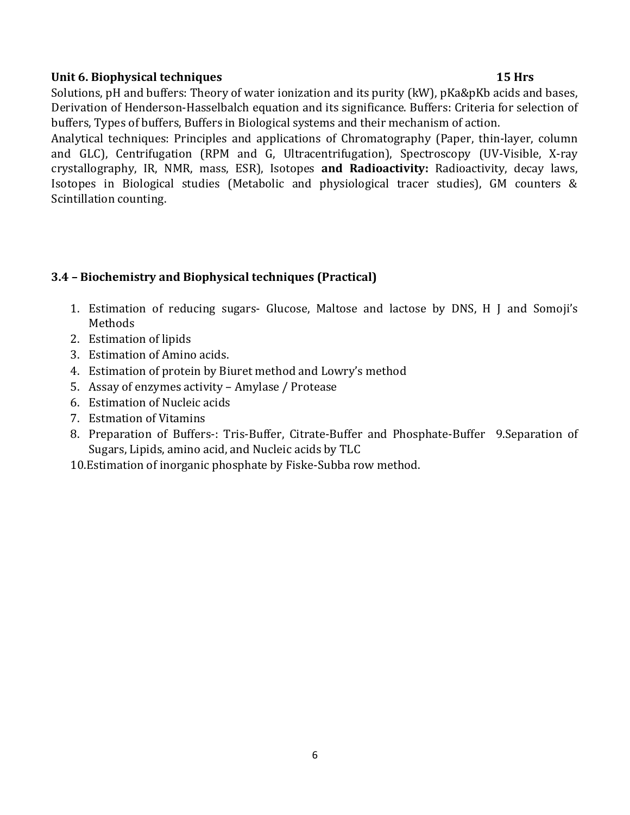# **Unit 6. Biophysical techniques 15 Hrs**

Solutions, pH and buffers: Theory of water ionization and its purity (kW), pKa&pKb acids and bases, Derivation of Henderson-Hasselbalch equation and its significance. Buffers: Criteria for selection of buffers, Types of buffers, Buffers in Biological systems and their mechanism of action.

Analytical techniques: Principles and applications of Chromatography (Paper, thin-layer, column and GLC), Centrifugation (RPM and G, Ultracentrifugation), Spectroscopy (UV-Visible, X-ray crystallography, IR, NMR, mass, ESR), Isotopes **and Radioactivity:** Radioactivity, decay laws, Isotopes in Biological studies (Metabolic and physiological tracer studies), GM counters & Scintillation counting.

# **3.4 – Biochemistry and Biophysical techniques (Practical)**

- 1. Estimation of reducing sugars- Glucose, Maltose and lactose by DNS, H J and Somoji's Methods
- 2. Estimation of lipids
- 3. Estimation of Amino acids.
- 4. Estimation of protein by Biuret method and Lowry's method
- 5. Assay of enzymes activity Amylase / Protease
- 6. Estimation of Nucleic acids
- 7. Estmation of Vitamins
- 8. Preparation of Buffers-: Tris-Buffer, Citrate-Buffer and Phosphate-Buffer 9.Separation of Sugars, Lipids, amino acid, and Nucleic acids by TLC
- 10.Estimation of inorganic phosphate by Fiske-Subba row method.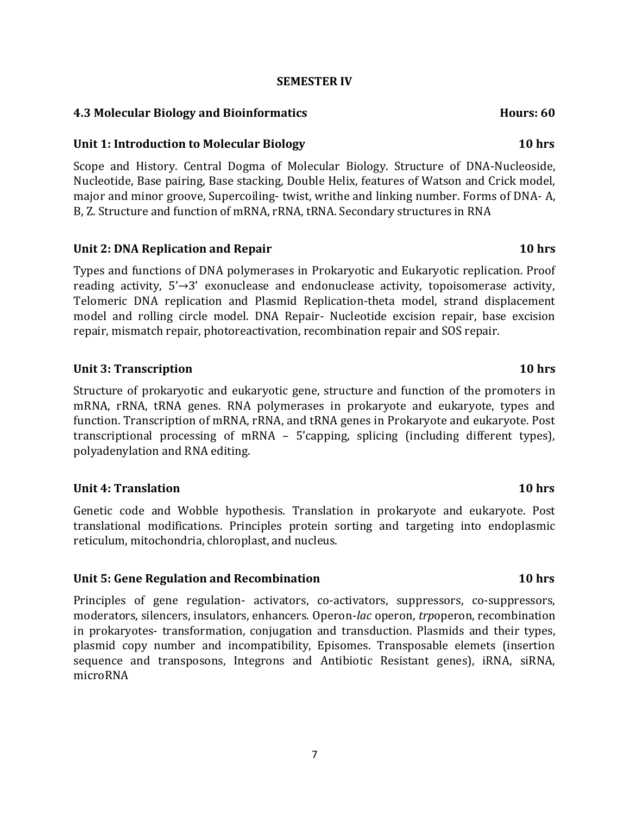### **SEMESTER IV**

### **4.3 Molecular Biology and Bioinformatics <b>Hours: 60** Hours: 60

### **Unit 1: Introduction to Molecular Biology 10 hrs**

Scope and History. Central Dogma of Molecular Biology. Structure of DNA-Nucleoside, Nucleotide, Base pairing, Base stacking, Double Helix, features of Watson and Crick model, major and minor groove, Supercoiling- twist, writhe and linking number. Forms of DNA- A, B, Z. Structure and function of mRNA, rRNA, tRNA. Secondary structures in RNA

### **Unit 2: DNA Replication and Repair 10 hrs**

Types and functions of DNA polymerases in Prokaryotic and Eukaryotic replication. Proof reading activity, 5'→3' exonuclease and endonuclease activity, topoisomerase activity, Telomeric DNA replication and Plasmid Replication-theta model, strand displacement model and rolling circle model. DNA Repair- Nucleotide excision repair, base excision repair, mismatch repair, photoreactivation, recombination repair and SOS repair.

### **Unit 3: Transcription 10 hrs**

Structure of prokaryotic and eukaryotic gene, structure and function of the promoters in mRNA, rRNA, tRNA genes. RNA polymerases in prokaryote and eukaryote, types and function. Transcription of mRNA, rRNA, and tRNA genes in Prokaryote and eukaryote. Post transcriptional processing of mRNA – 5'capping, splicing (including different types), polyadenylation and RNA editing.

### **Unit 4: Translation 10 hrs**

Genetic code and Wobble hypothesis. Translation in prokaryote and eukaryote. Post translational modifications. Principles protein sorting and targeting into endoplasmic reticulum, mitochondria, chloroplast, and nucleus.

### **Unit 5: Gene Regulation and Recombination 10 hrs**

Principles of gene regulation- activators, co-activators, suppressors, co-suppressors, moderators, silencers, insulators, enhancers. Operon-*lac* operon, *trp*operon, recombination in prokaryotes- transformation, conjugation and transduction. Plasmids and their types, plasmid copy number and incompatibility, Episomes. Transposable elemets (insertion sequence and transposons, Integrons and Antibiotic Resistant genes), iRNA, siRNA, microRNA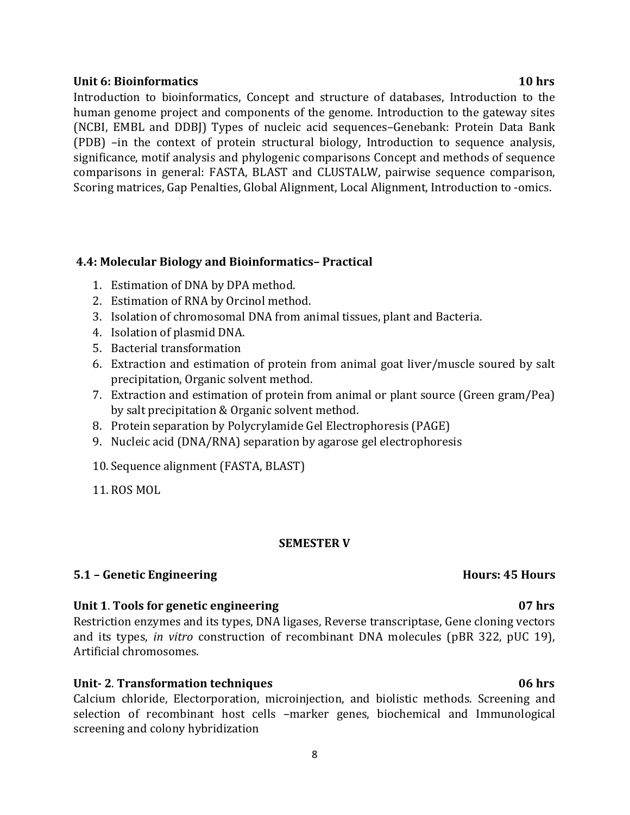### **Unit 6: Bioinformatics 10 hrs**

Introduction to bioinformatics, Concept and structure of databases, Introduction to the human genome project and components of the genome. Introduction to the gateway sites (NCBI, EMBL and DDBJ) Types of nucleic acid sequences–Genebank: Protein Data Bank (PDB) –in the context of protein structural biology, Introduction to sequence analysis, significance, motif analysis and phylogenic comparisons Concept and methods of sequence comparisons in general: FASTA, BLAST and CLUSTALW, pairwise sequence comparison, Scoring matrices, Gap Penalties, Global Alignment, Local Alignment, Introduction to -omics.

### **4.4: Molecular Biology and Bioinformatics– Practical**

- 1. Estimation of DNA by DPA method.
- 2. Estimation of RNA by Orcinol method.
- 3. Isolation of chromosomal DNA from animal tissues, plant and Bacteria.
- 4. Isolation of plasmid DNA.
- 5. Bacterial transformation
- 6. Extraction and estimation of protein from animal goat liver/muscle soured by salt precipitation, Organic solvent method.
- 7. Extraction and estimation of protein from animal or plant source (Green gram/Pea) by salt precipitation & Organic solvent method.
- 8. Protein separation by Polycrylamide Gel Electrophoresis (PAGE)
- 9. Nucleic acid (DNA/RNA) separation by agarose gel electrophoresis
- 10.Sequence alignment (FASTA, BLAST)
- 11. ROS MOL

### **SEMESTER V**

### **5.1 – Genetic Engineering**  The **Hours: 45 Hours Hours: 45 Hours**

### **Unit 1**. **Tools for genetic engineering 07 hrs**

Restriction enzymes and its types, DNA ligases, Reverse transcriptase, Gene cloning vectors and its types, *in vitro* construction of recombinant DNA molecules (pBR 322, pUC 19), Artificial chromosomes.

### **Unit- 2**. **Transformation techniques 06 hrs**

Calcium chloride, Electorporation, microinjection, and biolistic methods. Screening and selection of recombinant host cells –marker genes, biochemical and Immunological screening and colony hybridization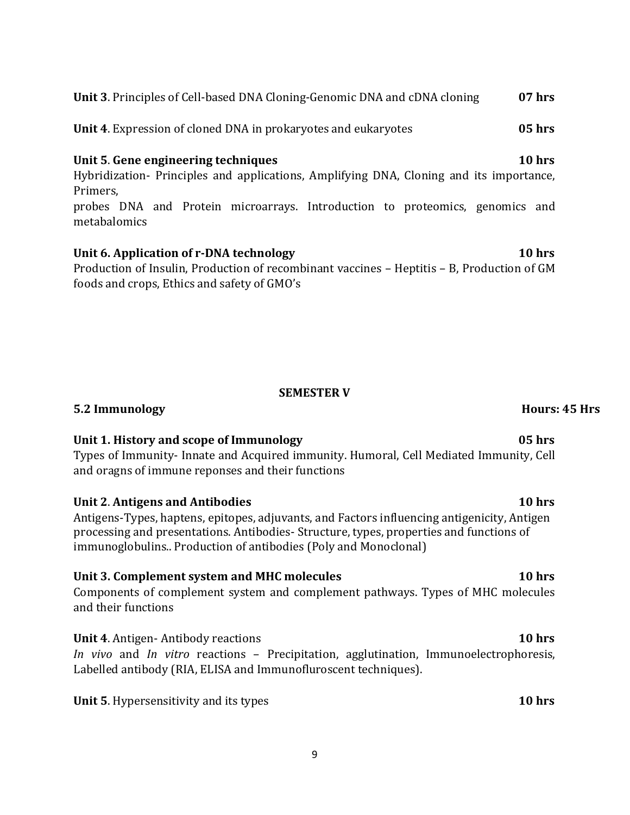**Unit 3**. Principles of Cell-based DNA Cloning-Genomic DNA and cDNA cloning **07 hrs**

**Unit 4**. Expression of cloned DNA in prokaryotes and eukaryotes **05 hrs**

# **Unit 5**. **Gene engineering techniques 10 hrs**

Hybridization- Principles and applications, Amplifying DNA, Cloning and its importance, Primers,

probes DNA and Protein microarrays. Introduction to proteomics, genomics and metabalomics

# **Unit 6. Application of r-DNA technology 10 hrs**

Production of Insulin, Production of recombinant vaccines – Heptitis – B, Production of GM foods and crops, Ethics and safety of GMO's

# **SEMESTER V**

**Unit 1. History and scope of Immunology 05 hrs** Types of Immunity- Innate and Acquired immunity. Humoral, Cell Mediated Immunity, Cell and oragns of immune reponses and their functions

# **Unit 2**. **Antigens and Antibodies 10 hrs**

Antigens-Types, haptens, epitopes, adjuvants, and Factors influencing antigenicity, Antigen processing and presentations. Antibodies- Structure, types, properties and functions of immunoglobulins.. Production of antibodies (Poly and Monoclonal)

# **Unit 3. Complement system and MHC molecules 10 hrs**

Components of complement system and complement pathways. Types of MHC molecules and their functions

**Unit 4**. Antigen- Antibody reactions **10 hrs** *In vivo* and *In vitro* reactions – Precipitation, agglutination, Immunoelectrophoresis, Labelled antibody (RIA, ELISA and Immunofluroscent techniques).

**Unit 5**. Hypersensitivity and its types **10 hrs**

# **5.2 Immunology Hours: 45 Hrs**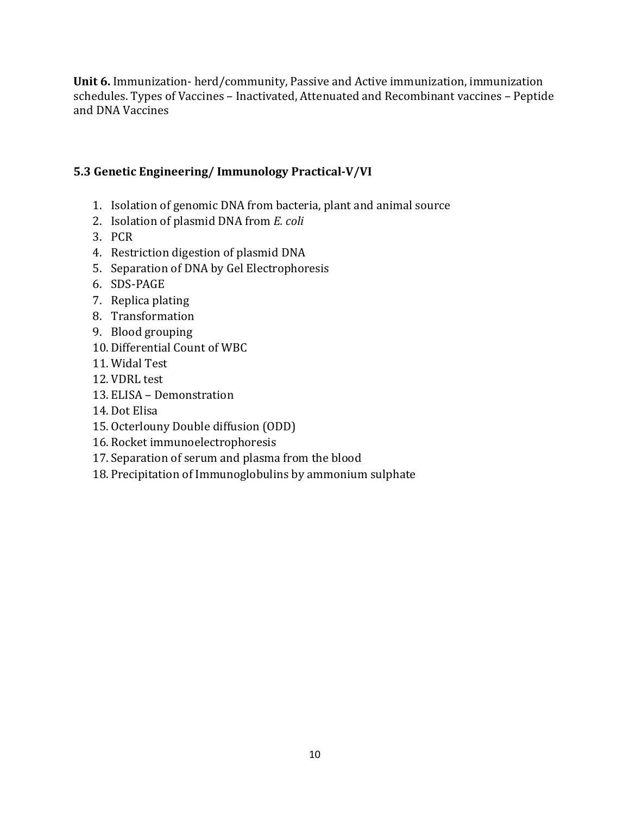**Unit 6.** Immunization- herd/community, Passive and Active immunization, immunization schedules. Types of Vaccines – Inactivated, Attenuated and Recombinant vaccines – Peptide and DNA Vaccines

# **5.3 Genetic Engineering/ Immunology Practical-V/VI**

- 1. Isolation of genomic DNA from bacteria, plant and animal source
- 2. Isolation of plasmid DNA from *E. coli*
- 3. PCR
- 4. Restriction digestion of plasmid DNA
- 5. Separation of DNA by Gel Electrophoresis
- 6. SDS-PAGE
- 7. Replica plating
- 8. Transformation
- 9. Blood grouping
- 10. Differential Count of WBC
- 11. Widal Test
- 12. VDRL test
- 13. ELISA Demonstration
- 14. Dot Elisa
- 15. Octerlouny Double diffusion (ODD)
- 16. Rocket immunoelectrophoresis
- 17.Separation of serum and plasma from the blood
- 18. Precipitation of Immunoglobulins by ammonium sulphate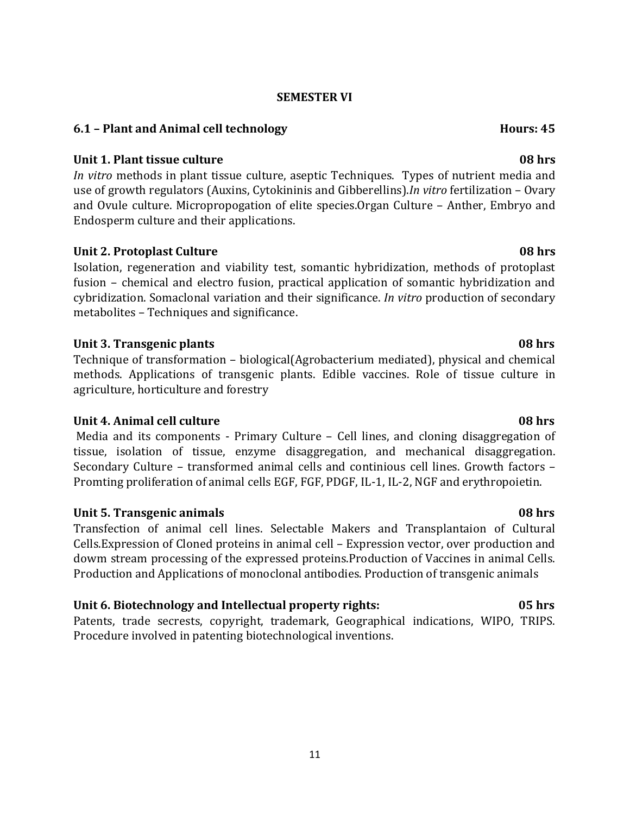### **SEMESTER VI**

### **6.1 – Plant and Animal cell technology hours: 45 <b>Hours: 45**

### **Unit 1. Plant tissue culture 08 hrs**

*In vitro* methods in plant tissue culture, aseptic Techniques. Types of nutrient media and use of growth regulators (Auxins, Cytokininis and Gibberellins).*In vitro* fertilization – Ovary and Ovule culture. Micropropogation of elite species.Organ Culture – Anther, Embryo and Endosperm culture and their applications.

# **Unit 2. Protoplast Culture 08 hrs**

Isolation, regeneration and viability test, somantic hybridization, methods of protoplast fusion – chemical and electro fusion, practical application of somantic hybridization and cybridization. Somaclonal variation and their significance. *In vitro* production of secondary metabolites – Techniques and significance.

# **Unit 3. Transgenic plants 08 hrs**

Technique of transformation – biological(Agrobacterium mediated), physical and chemical methods. Applications of transgenic plants. Edible vaccines. Role of tissue culture in agriculture, horticulture and forestry

# **Unit 4. Animal cell culture 08 hrs**

Media and its components - Primary Culture – Cell lines, and cloning disaggregation of tissue, isolation of tissue, enzyme disaggregation, and mechanical disaggregation. Secondary Culture – transformed animal cells and continious cell lines. Growth factors – Promting proliferation of animal cells EGF, FGF, PDGF, IL-1, IL-2, NGF and erythropoietin.

# **Unit 5. Transgenic animals 08 hrs**

Transfection of animal cell lines. Selectable Makers and Transplantaion of Cultural Cells.Expression of Cloned proteins in animal cell – Expression vector, over production and dowm stream processing of the expressed proteins.Production of Vaccines in animal Cells. Production and Applications of monoclonal antibodies. Production of transgenic animals

# **Unit 6. Biotechnology and Intellectual property rights: 05 hrs**

Patents, trade secrests, copyright, trademark, Geographical indications, WIPO, TRIPS. Procedure involved in patenting biotechnological inventions.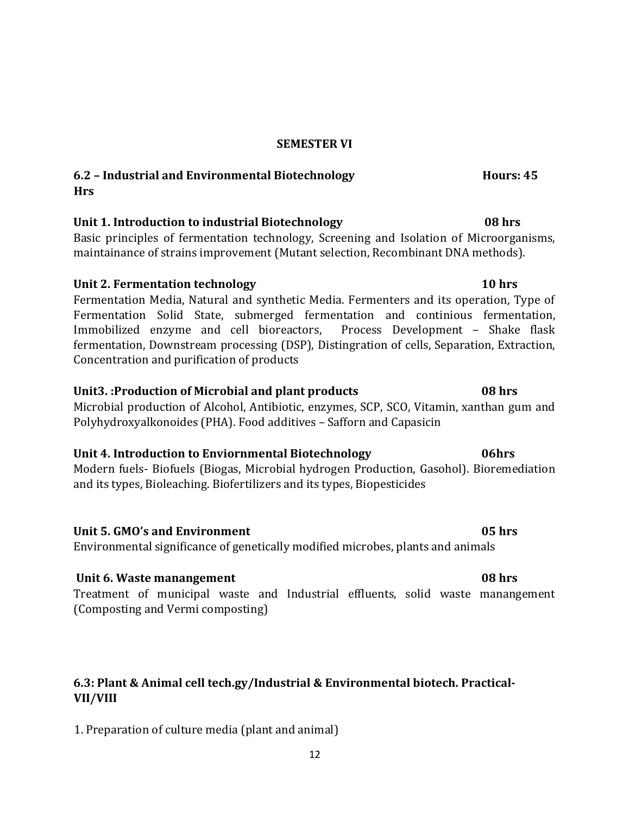### **SEMESTER VI**

# **6.2 – Industrial and Environmental Biotechnology Hours: 45 Hrs**

# **Unit 1. Introduction to industrial Biotechnology 08 hrs**

Basic principles of fermentation technology, Screening and Isolation of Microorganisms, maintainance of strains improvement (Mutant selection, Recombinant DNA methods).

# **Unit 2. Fermentation technology 10 hrs**

Fermentation Media, Natural and synthetic Media. Fermenters and its operation, Type of Fermentation Solid State, submerged fermentation and continious fermentation, Immobilized enzyme and cell bioreactors, Process Development – Shake flask fermentation, Downstream processing (DSP), Distingration of cells, Separation, Extraction, Concentration and purification of products

# **Unit3. :Production of Microbial and plant products 08 hrs**

Microbial production of Alcohol, Antibiotic, enzymes, SCP, SCO, Vitamin, xanthan gum and Polyhydroxyalkonoides (PHA). Food additives – Safforn and Capasicin

# **Unit 4. Introduction to Enviornmental Biotechnology 06hrs**

Modern fuels- Biofuels (Biogas, Microbial hydrogen Production, Gasohol). Bioremediation and its types, Bioleaching. Biofertilizers and its types, Biopesticides

# **Unit 5. GMO's and Environment 05 hrs**

Environmental significance of genetically modified microbes, plants and animals

# **Unit 6. Waste manangement 08 hrs**

Treatment of municipal waste and Industrial effluents, solid waste manangement (Composting and Vermi composting)

# **6.3: Plant & Animal cell tech.gy/Industrial & Environmental biotech. Practical-VII/VIII**

1. Preparation of culture media (plant and animal)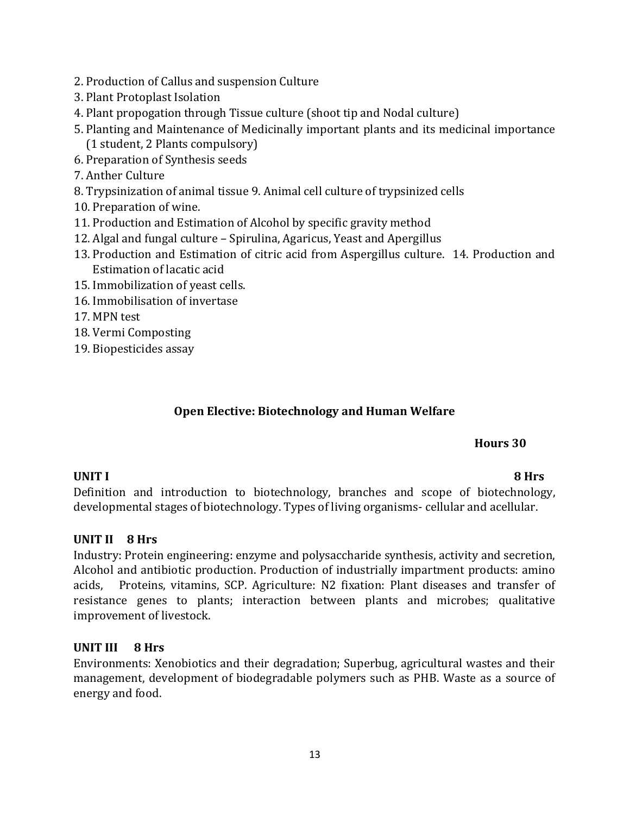- 2. Production of Callus and suspension Culture
- 3. Plant Protoplast Isolation
- 4. Plant propogation through Tissue culture (shoot tip and Nodal culture)
- 5. Planting and Maintenance of Medicinally important plants and its medicinal importance (1 student, 2 Plants compulsory)
- 6. Preparation of Synthesis seeds
- 7. Anther Culture
- 8. Trypsinization of animal tissue 9. Animal cell culture of trypsinized cells
- 10. Preparation of wine.
- 11. Production and Estimation of Alcohol by specific gravity method
- 12. Algal and fungal culture Spirulina, Agaricus, Yeast and Apergillus
- 13. Production and Estimation of citric acid from Aspergillus culture. 14. Production and Estimation of lacatic acid
- 15. Immobilization of yeast cells.
- 16. Immobilisation of invertase
- 17. MPN test
- 18. Vermi Composting
- 19. Biopesticides assay

# **Open Elective: Biotechnology and Human Welfare**

# **Hours 30**

# **UNIT I 8 Hrs**

Definition and introduction to biotechnology, branches and scope of biotechnology, developmental stages of biotechnology. Types of living organisms- cellular and acellular.

# **UNIT II 8 Hrs**

Industry: Protein engineering: enzyme and polysaccharide synthesis, activity and secretion, Alcohol and antibiotic production. Production of industrially impartment products: amino acids, Proteins, vitamins, SCP. Agriculture: N2 fixation: Plant diseases and transfer of resistance genes to plants; interaction between plants and microbes; qualitative improvement of livestock.

# **UNIT III 8 Hrs**

Environments: Xenobiotics and their degradation; Superbug, agricultural wastes and their management, development of biodegradable polymers such as PHB. Waste as a source of energy and food.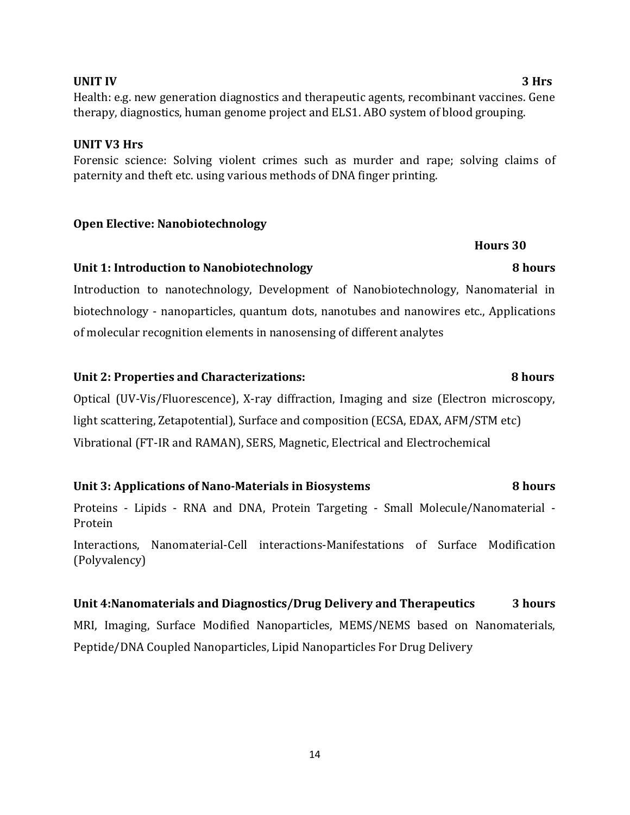# **UNIT IV 3 Hrs**

Health: e.g. new generation diagnostics and therapeutic agents, recombinant vaccines. Gene therapy, diagnostics, human genome project and ELS1. ABO system of blood grouping.

# **UNIT V3 Hrs**

# Forensic science: Solving violent crimes such as murder and rape; solving claims of paternity and theft etc. using various methods of DNA finger printing.

# **Open Elective: Nanobiotechnology**

# **Unit 1: Introduction to Nanobiotechnology 8 hours**

Introduction to nanotechnology, Development of Nanobiotechnology, Nanomaterial in biotechnology - nanoparticles, quantum dots, nanotubes and nanowires etc., Applications of molecular recognition elements in nanosensing of different analytes

# **Unit 2: Properties and Characterizations: 8 hours**

Optical (UV-Vis/Fluorescence), X-ray diffraction, Imaging and size (Electron microscopy, light scattering, Zetapotential), Surface and composition (ECSA, EDAX, AFM/STM etc) Vibrational (FT-IR and RAMAN), SERS, Magnetic, Electrical and Electrochemical

# **Unit 3: Applications of Nano-Materials in Biosystems 8 hours**

Proteins - Lipids - RNA and DNA, Protein Targeting - Small Molecule/Nanomaterial - Protein

Interactions, Nanomaterial-Cell interactions-Manifestations of Surface Modification (Polyvalency)

# **Unit 4:Nanomaterials and Diagnostics/Drug Delivery and Therapeutics 3 hours**  MRI, Imaging, Surface Modified Nanoparticles, MEMS/NEMS based on Nanomaterials,

Peptide/DNA Coupled Nanoparticles, Lipid Nanoparticles For Drug Delivery

**Hours 30**